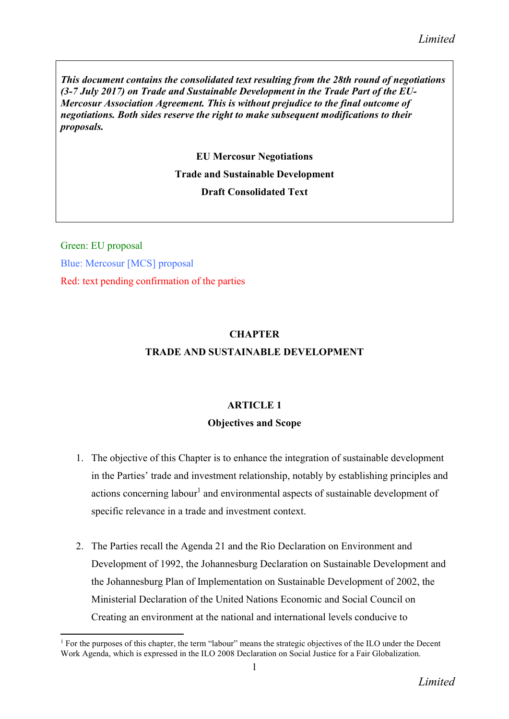*This document contains the consolidated text resulting from the 28th round of negotiations (3-7 July 2017) on Trade and Sustainable Development in the Trade Part of the EU-Mercosur Association Agreement. This is without prejudice to the final outcome of negotiations. Both sides reserve the right to make subsequent modifications to their proposals.*

EU Mercosur Negotiations

# Trade and Sustainable Development

## Draft Consolidated Text

Green: EU proposal Blue: Mercosur [MCS] proposal Red: text pending confirmation of the parties

# **CHAPTER** TRADE AND SUSTAINABLE DEVELOPMENT

## ARTICLE 1

## Objectives and Scope

- 1. The objective of this Chapter is to enhance the integration of sustainable development in the Parties' trade and investment relationship, notably by establishing principles and actions concerning labour<sup>1</sup> and environmental aspects of sustainable development of specific relevance in a trade and investment context.
- 2. The Parties recall the Agenda 21 and the Rio Declaration on Environment and Development of 1992, the Johannesburg Declaration on Sustainable Development and the Johannesburg Plan of Implementation on Sustainable Development of 2002, the Ministerial Declaration of the United Nations Economic and Social Council on Creating an environment at the national and international levels conducive to

**<sup>.</sup>** <sup>1</sup> For the purposes of this chapter, the term "labour" means the strategic objectives of the ILO under the Decent Work Agenda, which is expressed in the ILO 2008 Declaration on Social Justice for a Fair Globalization.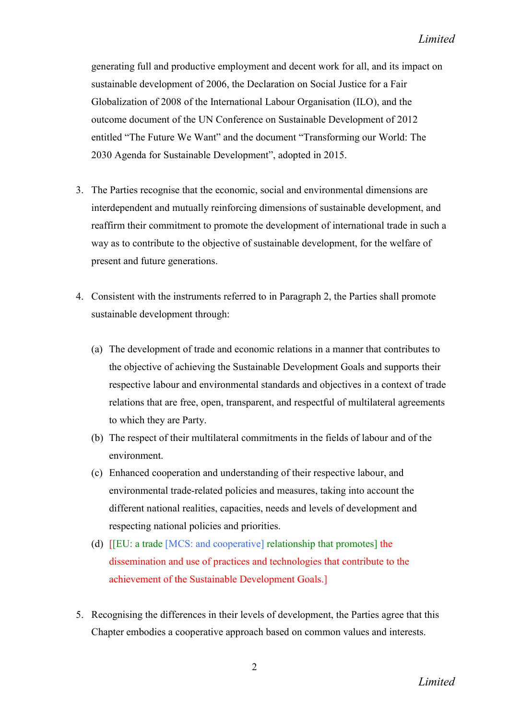generating full and productive employment and decent work for all, and its impact on sustainable development of 2006, the Declaration on Social Justice for a Fair Globalization of 2008 of the International Labour Organisation (ILO), and the outcome document of the UN Conference on Sustainable Development of 2012 entitled "The Future We Want" and the document "Transforming our World: The 2030 Agenda for Sustainable Development", adopted in 2015.

- 3. The Parties recognise that the economic, social and environmental dimensions are interdependent and mutually reinforcing dimensions of sustainable development, and reaffirm their commitment to promote the development of international trade in such a way as to contribute to the objective of sustainable development, for the welfare of present and future generations.
- 4. Consistent with the instruments referred to in Paragraph 2, the Parties shall promote sustainable development through:
	- (a) The development of trade and economic relations in a manner that contributes to the objective of achieving the Sustainable Development Goals and supports their respective labour and environmental standards and objectives in a context of trade relations that are free, open, transparent, and respectful of multilateral agreements to which they are Party.
	- (b) The respect of their multilateral commitments in the fields of labour and of the environment.
	- (c) Enhanced cooperation and understanding of their respective labour, and environmental trade-related policies and measures, taking into account the different national realities, capacities, needs and levels of development and respecting national policies and priorities.
	- (d) [[EU: a trade [MCS: and cooperative] relationship that promotes] the dissemination and use of practices and technologies that contribute to the achievement of the Sustainable Development Goals.]
- 5. Recognising the differences in their levels of development, the Parties agree that this Chapter embodies a cooperative approach based on common values and interests.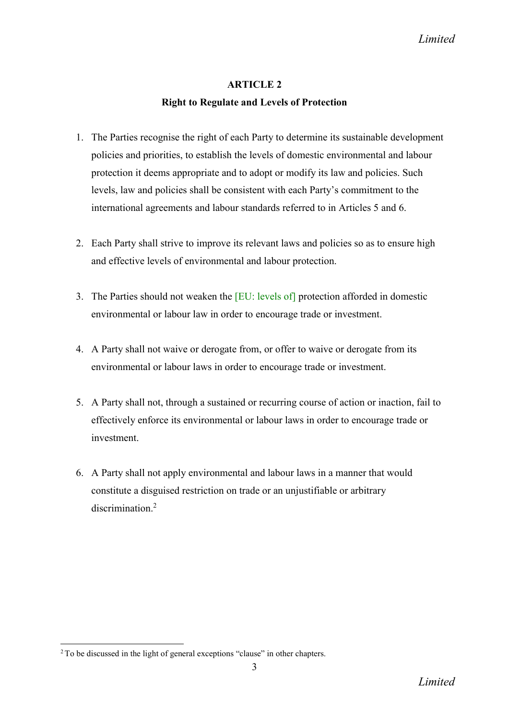## Right to Regulate and Levels of Protection

- 1. The Parties recognise the right of each Party to determine its sustainable development policies and priorities, to establish the levels of domestic environmental and labour protection it deems appropriate and to adopt or modify its law and policies. Such levels, law and policies shall be consistent with each Party's commitment to the international agreements and labour standards referred to in Articles 5 and 6.
- 2. Each Party shall strive to improve its relevant laws and policies so as to ensure high and effective levels of environmental and labour protection.
- 3. The Parties should not weaken the [EU: levels of] protection afforded in domestic environmental or labour law in order to encourage trade or investment.
- 4. A Party shall not waive or derogate from, or offer to waive or derogate from its environmental or labour laws in order to encourage trade or investment.
- 5. A Party shall not, through a sustained or recurring course of action or inaction, fail to effectively enforce its environmental or labour laws in order to encourage trade or investment.
- 6. A Party shall not apply environmental and labour laws in a manner that would constitute a disguised restriction on trade or an unjustifiable or arbitrary discrimination<sup>2</sup>

<sup>&</sup>lt;sup>2</sup> To be discussed in the light of general exceptions "clause" in other chapters.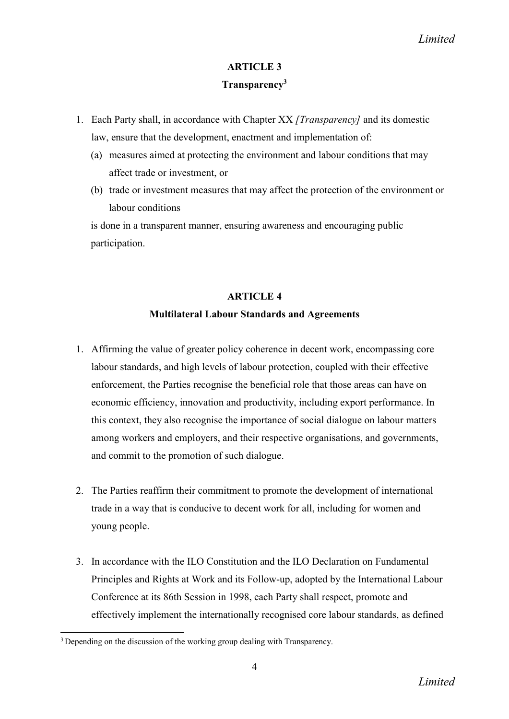## Transparency<sup>3</sup>

- 1. Each Party shall, in accordance with Chapter XX *[Transparency]* and its domestic law, ensure that the development, enactment and implementation of:
	- (a) measures aimed at protecting the environment and labour conditions that may affect trade or investment, or
	- (b) trade or investment measures that may affect the protection of the environment or labour conditions

is done in a transparent manner, ensuring awareness and encouraging public participation.

## ARTICLE 4

## Multilateral Labour Standards and Agreements

- 1. Affirming the value of greater policy coherence in decent work, encompassing core labour standards, and high levels of labour protection, coupled with their effective enforcement, the Parties recognise the beneficial role that those areas can have on economic efficiency, innovation and productivity, including export performance. In this context, they also recognise the importance of social dialogue on labour matters among workers and employers, and their respective organisations, and governments, and commit to the promotion of such dialogue.
- 2. The Parties reaffirm their commitment to promote the development of international trade in a way that is conducive to decent work for all, including for women and young people.
- 3. In accordance with the ILO Constitution and the ILO Declaration on Fundamental Principles and Rights at Work and its Follow-up, adopted by the International Labour Conference at its 86th Session in 1998, each Party shall respect, promote and effectively implement the internationally recognised core labour standards, as defined

**<sup>.</sup>** <sup>3</sup> Depending on the discussion of the working group dealing with Transparency.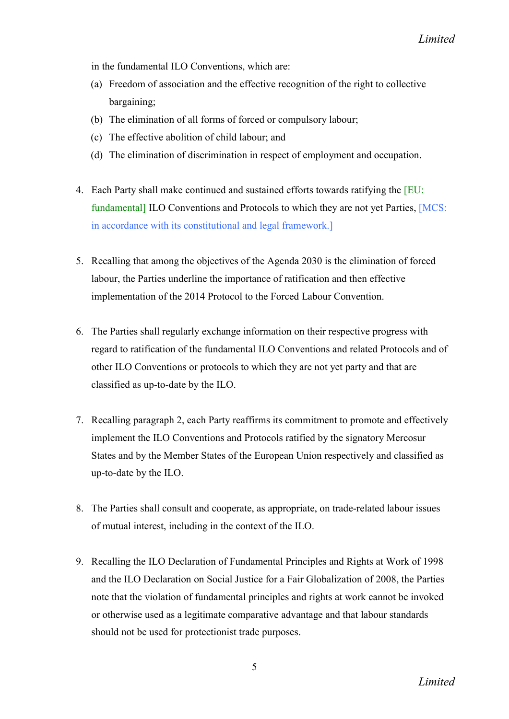in the fundamental ILO Conventions, which are:

- (a) Freedom of association and the effective recognition of the right to collective bargaining;
- (b) The elimination of all forms of forced or compulsory labour;
- (c) The effective abolition of child labour; and
- (d) The elimination of discrimination in respect of employment and occupation.
- 4. Each Party shall make continued and sustained efforts towards ratifying the [EU: fundamental] ILO Conventions and Protocols to which they are not yet Parties, [MCS: in accordance with its constitutional and legal framework.]
- 5. Recalling that among the objectives of the Agenda 2030 is the elimination of forced labour, the Parties underline the importance of ratification and then effective implementation of the 2014 Protocol to the Forced Labour Convention.
- 6. The Parties shall regularly exchange information on their respective progress with regard to ratification of the fundamental ILO Conventions and related Protocols and of other ILO Conventions or protocols to which they are not yet party and that are classified as up-to-date by the ILO.
- 7. Recalling paragraph 2, each Party reaffirms its commitment to promote and effectively implement the ILO Conventions and Protocols ratified by the signatory Mercosur States and by the Member States of the European Union respectively and classified as up-to-date by the ILO.
- 8. The Parties shall consult and cooperate, as appropriate, on trade-related labour issues of mutual interest, including in the context of the ILO.
- 9. Recalling the ILO Declaration of Fundamental Principles and Rights at Work of 1998 and the ILO Declaration on Social Justice for a Fair Globalization of 2008, the Parties note that the violation of fundamental principles and rights at work cannot be invoked or otherwise used as a legitimate comparative advantage and that labour standards should not be used for protectionist trade purposes.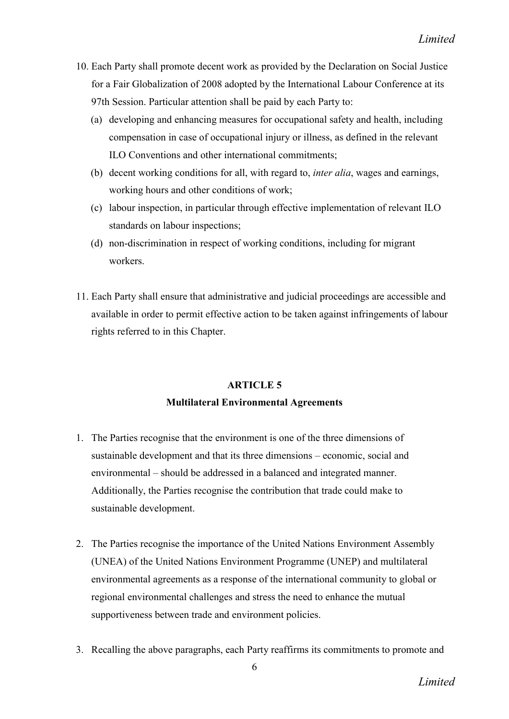- 10. Each Party shall promote decent work as provided by the Declaration on Social Justice for a Fair Globalization of 2008 adopted by the International Labour Conference at its 97th Session. Particular attention shall be paid by each Party to:
	- (a) developing and enhancing measures for occupational safety and health, including compensation in case of occupational injury or illness, as defined in the relevant ILO Conventions and other international commitments;
	- (b) decent working conditions for all, with regard to, *inter alia*, wages and earnings, working hours and other conditions of work;
	- (c) labour inspection, in particular through effective implementation of relevant ILO standards on labour inspections;
	- (d) non-discrimination in respect of working conditions, including for migrant workers.
- 11. Each Party shall ensure that administrative and judicial proceedings are accessible and available in order to permit effective action to be taken against infringements of labour rights referred to in this Chapter.

## Multilateral Environmental Agreements

- 1. The Parties recognise that the environment is one of the three dimensions of sustainable development and that its three dimensions – economic, social and environmental – should be addressed in a balanced and integrated manner. Additionally, the Parties recognise the contribution that trade could make to sustainable development.
- 2. The Parties recognise the importance of the United Nations Environment Assembly (UNEA) of the United Nations Environment Programme (UNEP) and multilateral environmental agreements as a response of the international community to global or regional environmental challenges and stress the need to enhance the mutual supportiveness between trade and environment policies.
- 3. Recalling the above paragraphs, each Party reaffirms its commitments to promote and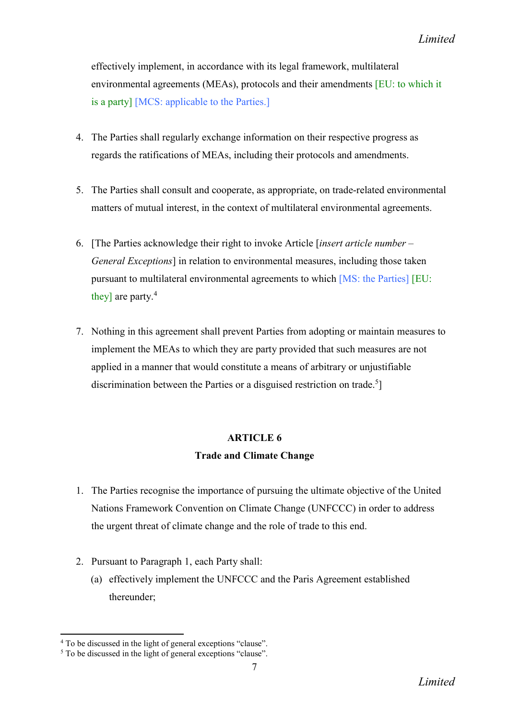effectively implement, in accordance with its legal framework, multilateral environmental agreements (MEAs), protocols and their amendments [EU: to which it is a party] [MCS: applicable to the Parties.]

- 4. The Parties shall regularly exchange information on their respective progress as regards the ratifications of MEAs, including their protocols and amendments.
- 5. The Parties shall consult and cooperate, as appropriate, on trade-related environmental matters of mutual interest, in the context of multilateral environmental agreements.
- 6. [The Parties acknowledge their right to invoke Article [*insert article number – General Exceptions*] in relation to environmental measures, including those taken pursuant to multilateral environmental agreements to which [MS: the Parties] [EU: they] are party.<sup>4</sup>
- 7. Nothing in this agreement shall prevent Parties from adopting or maintain measures to implement the MEAs to which they are party provided that such measures are not applied in a manner that would constitute a means of arbitrary or unjustifiable discrimination between the Parties or a disguised restriction on trade.<sup>5</sup>]

## ARTICLE 6 Trade and Climate Change

- 1. The Parties recognise the importance of pursuing the ultimate objective of the United Nations Framework Convention on Climate Change (UNFCCC) in order to address the urgent threat of climate change and the role of trade to this end.
- 2. Pursuant to Paragraph 1, each Party shall:
	- (a) effectively implement the UNFCCC and the Paris Agreement established thereunder;

<sup>4</sup> To be discussed in the light of general exceptions "clause".

<sup>5</sup> To be discussed in the light of general exceptions "clause".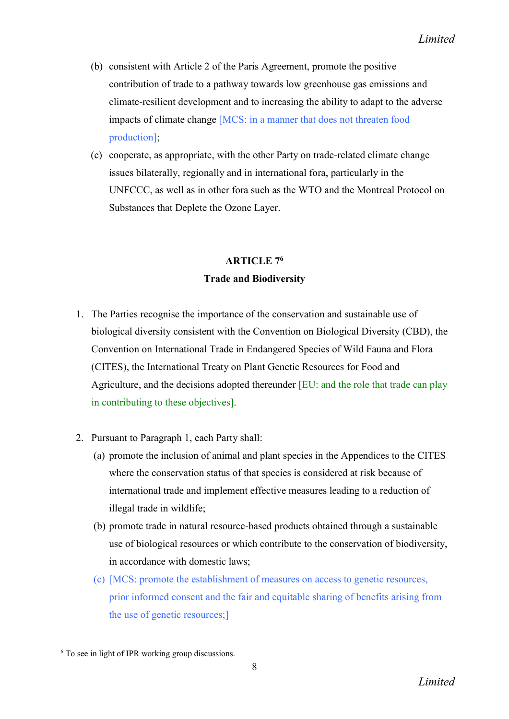- (b) consistent with Article 2 of the Paris Agreement, promote the positive contribution of trade to a pathway towards low greenhouse gas emissions and climate-resilient development and to increasing the ability to adapt to the adverse impacts of climate change [MCS: in a manner that does not threaten food production];
- (c) cooperate, as appropriate, with the other Party on trade-related climate change issues bilaterally, regionally and in international fora, particularly in the UNFCCC, as well as in other fora such as the WTO and the Montreal Protocol on Substances that Deplete the Ozone Layer.

# ARTICLE 76 Trade and Biodiversity

- 1. The Parties recognise the importance of the conservation and sustainable use of biological diversity consistent with the Convention on Biological Diversity (CBD), the Convention on International Trade in Endangered Species of Wild Fauna and Flora (CITES), the International Treaty on Plant Genetic Resources for Food and Agriculture, and the decisions adopted thereunder [EU: and the role that trade can play in contributing to these objectives].
- 2. Pursuant to Paragraph 1, each Party shall:
	- (a) promote the inclusion of animal and plant species in the Appendices to the CITES where the conservation status of that species is considered at risk because of international trade and implement effective measures leading to a reduction of illegal trade in wildlife;
	- (b) promote trade in natural resource-based products obtained through a sustainable use of biological resources or which contribute to the conservation of biodiversity, in accordance with domestic laws;
	- (c) [MCS: promote the establishment of measures on access to genetic resources, prior informed consent and the fair and equitable sharing of benefits arising from the use of genetic resources;]

**<sup>.</sup>** <sup>6</sup> To see in light of IPR working group discussions.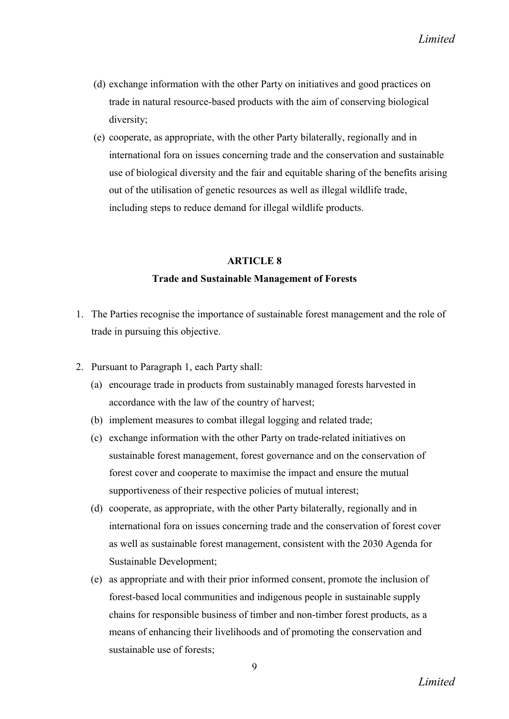- (d) exchange information with the other Party on initiatives and good practices on trade in natural resource-based products with the aim of conserving biological diversity;
- (e) cooperate, as appropriate, with the other Party bilaterally, regionally and in international fora on issues concerning trade and the conservation and sustainable use of biological diversity and the fair and equitable sharing of the benefits arising out of the utilisation of genetic resources as well as illegal wildlife trade, including steps to reduce demand for illegal wildlife products.

#### Trade and Sustainable Management of Forests

- 1. The Parties recognise the importance of sustainable forest management and the role of trade in pursuing this objective.
- 2. Pursuant to Paragraph 1, each Party shall:
	- (a) encourage trade in products from sustainably managed forests harvested in accordance with the law of the country of harvest;
	- (b) implement measures to combat illegal logging and related trade;
	- (c) exchange information with the other Party on trade-related initiatives on sustainable forest management, forest governance and on the conservation of forest cover and cooperate to maximise the impact and ensure the mutual supportiveness of their respective policies of mutual interest;
	- (d) cooperate, as appropriate, with the other Party bilaterally, regionally and in international fora on issues concerning trade and the conservation of forest cover as well as sustainable forest management, consistent with the 2030 Agenda for Sustainable Development;
	- (e) as appropriate and with their prior informed consent, promote the inclusion of forest-based local communities and indigenous people in sustainable supply chains for responsible business of timber and non-timber forest products, as a means of enhancing their livelihoods and of promoting the conservation and sustainable use of forests: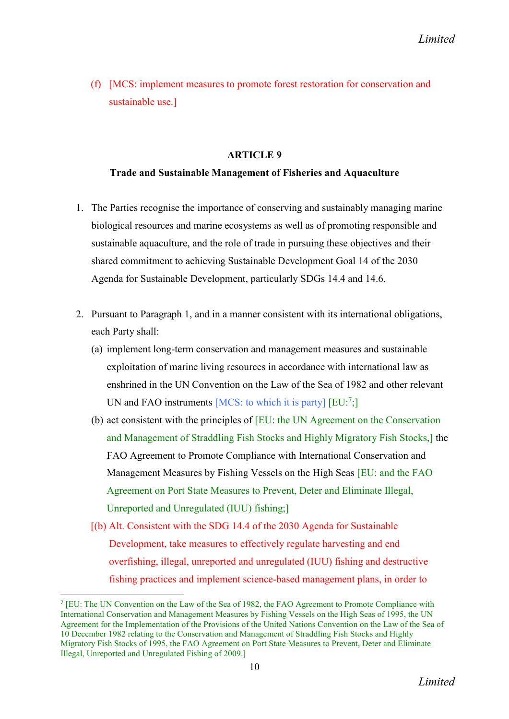(f) [MCS: implement measures to promote forest restoration for conservation and sustainable use.]

### ARTICLE 9

### Trade and Sustainable Management of Fisheries and Aquaculture

- 1. The Parties recognise the importance of conserving and sustainably managing marine biological resources and marine ecosystems as well as of promoting responsible and sustainable aquaculture, and the role of trade in pursuing these objectives and their shared commitment to achieving Sustainable Development Goal 14 of the 2030 Agenda for Sustainable Development, particularly SDGs 14.4 and 14.6.
- 2. Pursuant to Paragraph 1, and in a manner consistent with its international obligations, each Party shall:
	- (a) implement long-term conservation and management measures and sustainable exploitation of marine living resources in accordance with international law as enshrined in the UN Convention on the Law of the Sea of 1982 and other relevant UN and FAO instruments [MCS: to which it is party]  $[EU:$ <sup>7</sup>;]
	- (b) act consistent with the principles of [EU: the UN Agreement on the Conservation and Management of Straddling Fish Stocks and Highly Migratory Fish Stocks,] the FAO Agreement to Promote Compliance with International Conservation and Management Measures by Fishing Vessels on the High Seas [EU: and the FAO Agreement on Port State Measures to Prevent, Deter and Eliminate Illegal, Unreported and Unregulated (IUU) fishing;]
	- [(b) Alt. Consistent with the SDG 14.4 of the 2030 Agenda for Sustainable Development, take measures to effectively regulate harvesting and end overfishing, illegal, unreported and unregulated (IUU) fishing and destructive fishing practices and implement science-based management plans, in order to

 <sup>7</sup> [EU: The UN Convention on the Law of the Sea of 1982, the FAO Agreement to Promote Compliance with International Conservation and Management Measures by Fishing Vessels on the High Seas of 1995, the UN Agreement for the Implementation of the Provisions of the United Nations Convention on the Law of the Sea of 10 December 1982 relating to the Conservation and Management of Straddling Fish Stocks and Highly Migratory Fish Stocks of 1995, the FAO Agreement on Port State Measures to Prevent, Deter and Eliminate Illegal, Unreported and Unregulated Fishing of 2009.]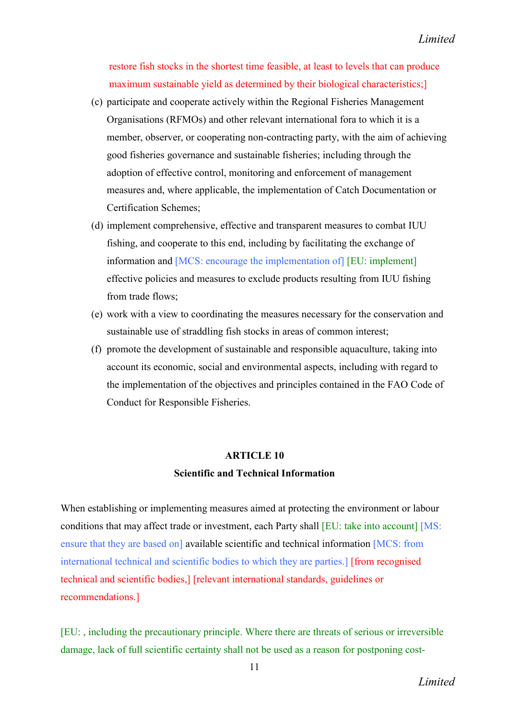restore fish stocks in the shortest time feasible, at least to levels that can produce maximum sustainable yield as determined by their biological characteristics;

- (c) participate and cooperate actively within the Regional Fisheries Management Organisations (RFMOs) and other relevant international fora to which it is a member, observer, or cooperating non-contracting party, with the aim of achieving good fisheries governance and sustainable fisheries; including through the adoption of effective control, monitoring and enforcement of management measures and, where applicable, the implementation of Catch Documentation or Certification Schemes;
- (d) implement comprehensive, effective and transparent measures to combat IUU fishing, and cooperate to this end, including by facilitating the exchange of information and [MCS: encourage the implementation of] [EU: implement] effective policies and measures to exclude products resulting from IUU fishing from trade flows;
- (e) work with a view to coordinating the measures necessary for the conservation and sustainable use of straddling fish stocks in areas of common interest;
- (f) promote the development of sustainable and responsible aquaculture, taking into account its economic, social and environmental aspects, including with regard to the implementation of the objectives and principles contained in the FAO Code of Conduct for Responsible Fisheries.

## ARTICLE 10 Scientific and Technical Information

When establishing or implementing measures aimed at protecting the environment or labour conditions that may affect trade or investment, each Party shall [EU: take into account] [MS: ensure that they are based on] available scientific and technical information [MCS: from international technical and scientific bodies to which they are parties.] [from recognised technical and scientific bodies,] [relevant international standards, guidelines or recommendations.]

[EU: , including the precautionary principle. Where there are threats of serious or irreversible damage, lack of full scientific certainty shall not be used as a reason for postponing cost-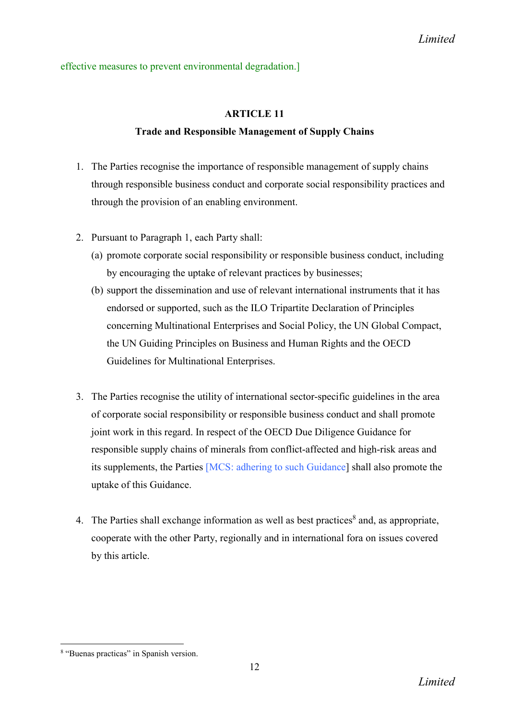### effective measures to prevent environmental degradation.]

## ARTICLE 11

## Trade and Responsible Management of Supply Chains

- 1. The Parties recognise the importance of responsible management of supply chains through responsible business conduct and corporate social responsibility practices and through the provision of an enabling environment.
- 2. Pursuant to Paragraph 1, each Party shall:
	- (a) promote corporate social responsibility or responsible business conduct, including by encouraging the uptake of relevant practices by businesses;
	- (b) support the dissemination and use of relevant international instruments that it has endorsed or supported, such as the ILO Tripartite Declaration of Principles concerning Multinational Enterprises and Social Policy, the UN Global Compact, the UN Guiding Principles on Business and Human Rights and the OECD Guidelines for Multinational Enterprises.
- 3. The Parties recognise the utility of international sector-specific guidelines in the area of corporate social responsibility or responsible business conduct and shall promote joint work in this regard. In respect of the OECD Due Diligence Guidance for responsible supply chains of minerals from conflict-affected and high-risk areas and its supplements, the Parties [MCS: adhering to such Guidance] shall also promote the uptake of this Guidance.
- 4. The Parties shall exchange information as well as best practices $\delta$  and, as appropriate, cooperate with the other Party, regionally and in international fora on issues covered by this article.

<sup>8</sup> "Buenas practicas" in Spanish version.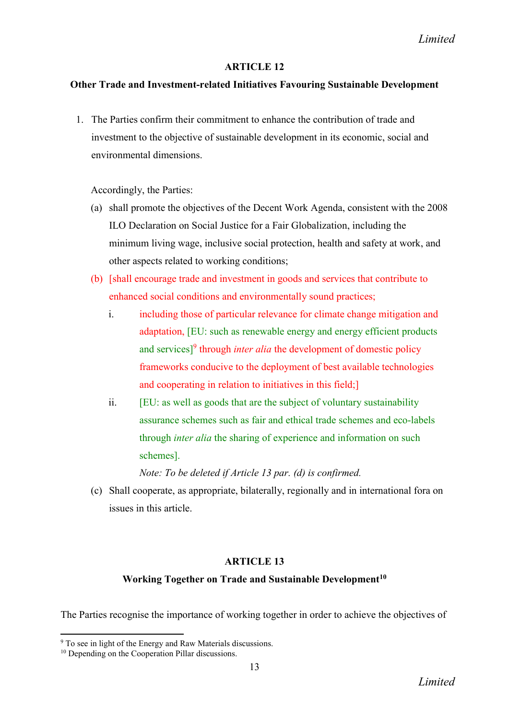## Other Trade and Investment-related Initiatives Favouring Sustainable Development

1. The Parties confirm their commitment to enhance the contribution of trade and investment to the objective of sustainable development in its economic, social and environmental dimensions.

Accordingly, the Parties:

- (a) shall promote the objectives of the Decent Work Agenda, consistent with the 2008 ILO Declaration on Social Justice for a Fair Globalization, including the minimum living wage, inclusive social protection, health and safety at work, and other aspects related to working conditions;
- (b) [shall encourage trade and investment in goods and services that contribute to enhanced social conditions and environmentally sound practices;
	- i. including those of particular relevance for climate change mitigation and adaptation, [EU: such as renewable energy and energy efficient products and services]<sup>9</sup> through *inter alia* the development of domestic policy frameworks conducive to the deployment of best available technologies and cooperating in relation to initiatives in this field;]
	- ii. [EU: as well as goods that are the subject of voluntary sustainability assurance schemes such as fair and ethical trade schemes and eco-labels through *inter alia* the sharing of experience and information on such schemes].

*Note: To be deleted if Article 13 par. (d) is confirmed.*

(c) Shall cooperate, as appropriate, bilaterally, regionally and in international fora on issues in this article.

## **ARTICLE 13**

### Working Together on Trade and Sustainable Development<sup>10</sup>

The Parties recognise the importance of working together in order to achieve the objectives of

<sup>9</sup> To see in light of the Energy and Raw Materials discussions.

<sup>&</sup>lt;sup>10</sup> Depending on the Cooperation Pillar discussions.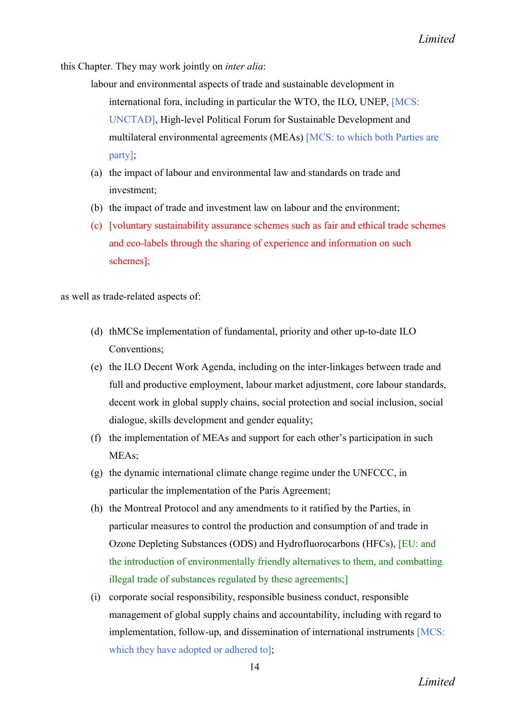this Chapter. They may work jointly on *inter alia*:

- labour and environmental aspects of trade and sustainable development in international fora, including in particular the WTO, the ILO, UNEP, [MCS: UNCTAD], High-level Political Forum for Sustainable Development and multilateral environmental agreements (MEAs) [MCS: to which both Parties are party];
- (a) the impact of labour and environmental law and standards on trade and investment;
- (b) the impact of trade and investment law on labour and the environment;
- (c) [voluntary sustainability assurance schemes such as fair and ethical trade schemes and eco-labels through the sharing of experience and information on such schemes];

as well as trade-related aspects of:

- (d) thMCSe implementation of fundamental, priority and other up-to-date ILO Conventions;
- (e) the ILO Decent Work Agenda, including on the inter-linkages between trade and full and productive employment, labour market adjustment, core labour standards, decent work in global supply chains, social protection and social inclusion, social dialogue, skills development and gender equality;
- (f) the implementation of MEAs and support for each other's participation in such MEAs;
- (g) the dynamic international climate change regime under the UNFCCC, in particular the implementation of the Paris Agreement;
- (h) the Montreal Protocol and any amendments to it ratified by the Parties, in particular measures to control the production and consumption of and trade in Ozone Depleting Substances (ODS) and Hydrofluorocarbons (HFCs), [EU: and the introduction of environmentally friendly alternatives to them, and combatting illegal trade of substances regulated by these agreements;]
- (i) corporate social responsibility, responsible business conduct, responsible management of global supply chains and accountability, including with regard to implementation, follow-up, and dissemination of international instruments [MCS: which they have adopted or adhered tol: